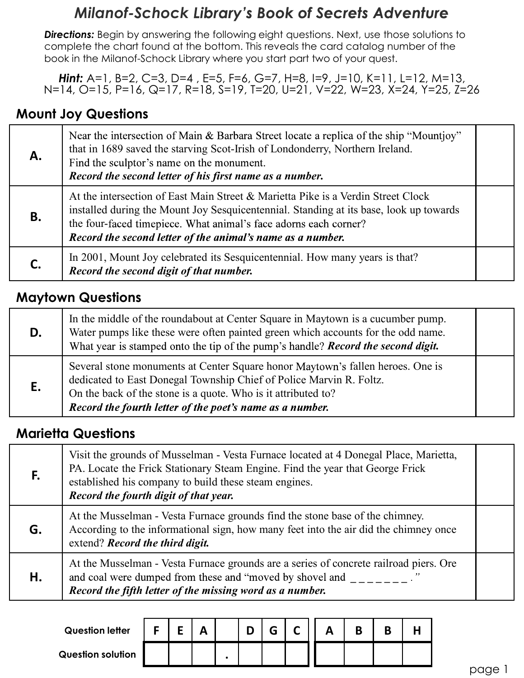# **Milanof-Schock Library's Book of Secrets Adventure**

**Directions:** Begin by answering the following eight questions. Next, use those solutions to complete the chart found at the bottom. This reveals the card catalog number of the **Milanof-Schock Library's Book of Secrets Adventure**<br>**Directions:** Begin by answering the following eight questions. Next, use those solutions to<br>complete the chart found at the bottom. This reveals the card catalog numbe

Hint: A=1, B=2, C=3, D=4, E=5, F=6, G=7, H=8, I=9, J=10, K=11, L=12, M=13, N=14, O=15, P=16, Q=17, R=18, S=19, T=20, U=21, V=22, W=23, X=24, Y=25, Z=26

## Mount Joy Questions

|           | <b>Hint:</b> A=1, B=2, C=3, D=4, E=5, F=6, G=7, H=8, I=9, J=10, K=11, L=12, M=13,<br>N=14, O=15, P=16, Q=17, R=18, S=19, T=20, U=21, V=22, W=23, X=24, Y=25, Z=26                                                                                                                                                                                                                                                    |
|-----------|----------------------------------------------------------------------------------------------------------------------------------------------------------------------------------------------------------------------------------------------------------------------------------------------------------------------------------------------------------------------------------------------------------------------|
|           | <b>Mount Joy Questions</b>                                                                                                                                                                                                                                                                                                                                                                                           |
| Α.        | Near the intersection of Main & Barbara Street locate a replica of the ship "Mountjoy"<br>that in 1689 saved the starving Scot-Irish of Londonderry, Northern Ireland.<br>Find the sculptor's name on the monument.<br>Record the second letter of his first name as a number.                                                                                                                                       |
| <b>B.</b> | At the intersection of East Main Street & Marietta Pike is a Verdin Street Clock<br>installed during the Mount Joy Sesquicentennial. Standing at its base, look up towards<br>the four-faced timepiece. What animal's face adorns each corner?<br>Record the second letter of the animal's name as a number.                                                                                                         |
|           | In 2001, Mount Joy celebrated its Sesquicentennial. How many years is that?<br>Record the second digit of that number.                                                                                                                                                                                                                                                                                               |
|           | <b>Maytown Questions</b>                                                                                                                                                                                                                                                                                                                                                                                             |
| D.        | In the middle of the roundabout at Center Square in Maytown is a cucumber pump.<br>Water pumps like these were often painted green which accounts for the odd name.<br>What year is stamped onto the tip of the pump's handle? <b>Record the second digit.</b>                                                                                                                                                       |
|           | Several stone monuments at Center Square honor Maytown's fallen heroes. One is<br>$\mathbf{F}$ $\mathbf{D}$ $\mathbf{F}$ $\mathbf{F}$ $\mathbf{F}$ $\mathbf{F}$ $\mathbf{F}$ $\mathbf{F}$ $\mathbf{F}$ $\mathbf{F}$ $\mathbf{F}$ $\mathbf{F}$ $\mathbf{F}$ $\mathbf{F}$ $\mathbf{F}$ $\mathbf{F}$ $\mathbf{F}$ $\mathbf{F}$ $\mathbf{F}$ $\mathbf{F}$ $\mathbf{F}$ $\mathbf{F}$ $\mathbf{F}$ $\mathbf{F}$ $\mathbf{$ |

|    | Record the second letter of the animal's name as a number.                                                                                                                                                                                                                         |  |
|----|------------------------------------------------------------------------------------------------------------------------------------------------------------------------------------------------------------------------------------------------------------------------------------|--|
| С. | In 2001, Mount Joy celebrated its Sesquicentennial. How many years is that?<br>Record the second digit of that number.                                                                                                                                                             |  |
|    | <b>Maytown Questions</b>                                                                                                                                                                                                                                                           |  |
| D. | In the middle of the roundabout at Center Square in Maytown is a cucumber pump.<br>Water pumps like these were often painted green which accounts for the odd name.<br>What year is stamped onto the tip of the pump's handle? Record the second digit.                            |  |
| Ε. | Several stone monuments at Center Square honor Maytown's fallen heroes. One is<br>dedicated to East Donegal Township Chief of Police Marvin R. Foltz.<br>On the back of the stone is a quote. Who is it attributed to?<br>Record the fourth letter of the poet's name as a number. |  |
|    | <b>Marietta Questions</b>                                                                                                                                                                                                                                                          |  |
| F. | Visit the grounds of Musselman - Vesta Furnace located at 4 Donegal Place, Marietta,<br>PA. Locate the Frick Stationary Steam Engine. Find the year that George Frick<br>established his company to build these steam engines.<br>Record the fourth digit of that year.            |  |
|    | $\mathbf{r}$ , and the set of the set of $\mathbf{r}$                                                                                                                                                                                                                              |  |

#### Marietta Questions

|    | <b>Mayfown Questions</b>                                                                                                                                                                                                                                                |                                                                                                                                                                                                                                                                                    |    |              |  |   |   |              |   |   |   |   |  |  |        |  |
|----|-------------------------------------------------------------------------------------------------------------------------------------------------------------------------------------------------------------------------------------------------------------------------|------------------------------------------------------------------------------------------------------------------------------------------------------------------------------------------------------------------------------------------------------------------------------------|----|--------------|--|---|---|--------------|---|---|---|---|--|--|--------|--|
| D. | In the middle of the roundabout at Center Square in Maytown is a cucumber pump.<br>Water pumps like these were often painted green which accounts for the odd name.<br>What year is stamped onto the tip of the pump's handle? <b>Record the second digit.</b>          |                                                                                                                                                                                                                                                                                    |    |              |  |   |   |              |   |   |   |   |  |  |        |  |
| E. |                                                                                                                                                                                                                                                                         | Several stone monuments at Center Square honor Maytown's fallen heroes. One is<br>dedicated to East Donegal Township Chief of Police Marvin R. Foltz.<br>On the back of the stone is a quote. Who is it attributed to?<br>Record the fourth letter of the poet's name as a number. |    |              |  |   |   |              |   |   |   |   |  |  |        |  |
|    | <b>Marietta Questions</b>                                                                                                                                                                                                                                               |                                                                                                                                                                                                                                                                                    |    |              |  |   |   |              |   |   |   |   |  |  |        |  |
| F. | Visit the grounds of Musselman - Vesta Furnace located at 4 Donegal Place, Marietta,<br>PA. Locate the Frick Stationary Steam Engine. Find the year that George Frick<br>established his company to build these steam engines.<br>Record the fourth digit of that year. |                                                                                                                                                                                                                                                                                    |    |              |  |   |   |              |   |   |   |   |  |  |        |  |
| G. | At the Musselman - Vesta Furnace grounds find the stone base of the chimney.<br>According to the informational sign, how many feet into the air did the chimney once<br>extend? Record the third digit.                                                                 |                                                                                                                                                                                                                                                                                    |    |              |  |   |   |              |   |   |   |   |  |  |        |  |
| Η. | At the Musselman - Vesta Furnace grounds are a series of concrete railroad piers. Ore<br>and coal were dumped from these and "moved by shovel and"<br>Record the fifth letter of the missing word as a number.                                                          |                                                                                                                                                                                                                                                                                    |    |              |  |   |   |              |   |   |   |   |  |  |        |  |
|    | <b>Question letter</b>                                                                                                                                                                                                                                                  | F                                                                                                                                                                                                                                                                                  |    |              |  | D | G |              |   | B |   |   |  |  |        |  |
|    |                                                                                                                                                                                                                                                                         |                                                                                                                                                                                                                                                                                    | E. | $\mathbf{A}$ |  |   |   | $\mathsf{C}$ | A |   | B | H |  |  |        |  |
|    | <b>Question solution</b>                                                                                                                                                                                                                                                |                                                                                                                                                                                                                                                                                    |    |              |  |   |   |              |   |   |   |   |  |  | page 1 |  |
|    |                                                                                                                                                                                                                                                                         |                                                                                                                                                                                                                                                                                    |    |              |  |   |   |              |   |   |   |   |  |  |        |  |

| <b>Question letter</b>   | - |  |  |  |  | D |  |
|--------------------------|---|--|--|--|--|---|--|
| <b>Question solution</b> |   |  |  |  |  |   |  |